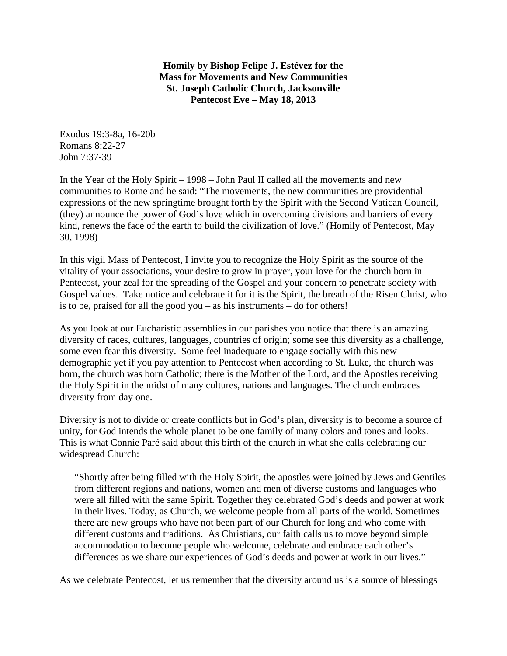**Homily by Bishop Felipe J. Estévez for the Mass for Movements and New Communities St. Joseph Catholic Church, Jacksonville Pentecost Eve – May 18, 2013** 

Exodus 19:3-8a, 16-20b Romans 8:22-27 John 7:37-39

In the Year of the Holy Spirit – 1998 – John Paul II called all the movements and new communities to Rome and he said: "The movements, the new communities are providential expressions of the new springtime brought forth by the Spirit with the Second Vatican Council, (they) announce the power of God's love which in overcoming divisions and barriers of every kind, renews the face of the earth to build the civilization of love." (Homily of Pentecost, May 30, 1998)

In this vigil Mass of Pentecost, I invite you to recognize the Holy Spirit as the source of the vitality of your associations, your desire to grow in prayer, your love for the church born in Pentecost, your zeal for the spreading of the Gospel and your concern to penetrate society with Gospel values. Take notice and celebrate it for it is the Spirit, the breath of the Risen Christ, who is to be, praised for all the good you – as his instruments – do for others!

As you look at our Eucharistic assemblies in our parishes you notice that there is an amazing diversity of races, cultures, languages, countries of origin; some see this diversity as a challenge, some even fear this diversity. Some feel inadequate to engage socially with this new demographic yet if you pay attention to Pentecost when according to St. Luke, the church was born, the church was born Catholic; there is the Mother of the Lord, and the Apostles receiving the Holy Spirit in the midst of many cultures, nations and languages. The church embraces diversity from day one.

Diversity is not to divide or create conflicts but in God's plan, diversity is to become a source of unity, for God intends the whole planet to be one family of many colors and tones and looks. This is what Connie Paré said about this birth of the church in what she calls celebrating our widespread Church:

 "Shortly after being filled with the Holy Spirit, the apostles were joined by Jews and Gentiles from different regions and nations, women and men of diverse customs and languages who were all filled with the same Spirit. Together they celebrated God's deeds and power at work in their lives. Today, as Church, we welcome people from all parts of the world. Sometimes there are new groups who have not been part of our Church for long and who come with different customs and traditions. As Christians, our faith calls us to move beyond simple accommodation to become people who welcome, celebrate and embrace each other's differences as we share our experiences of God's deeds and power at work in our lives."

As we celebrate Pentecost, let us remember that the diversity around us is a source of blessings